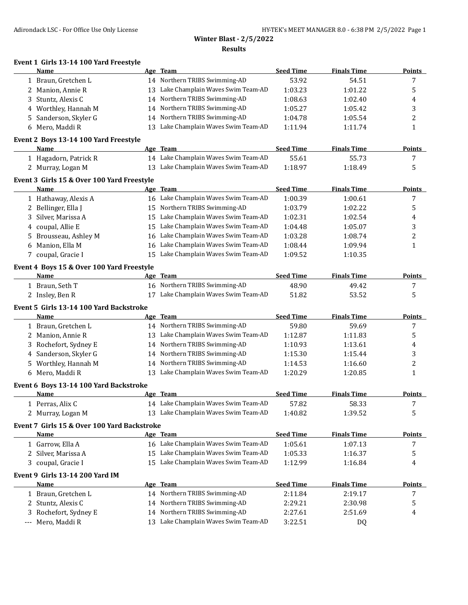## **Winter Blast - 2/5/2022 Results**

## **Event 1 Girls 13-14 100 Yard Freestyle**

| Name                                       |    | Age Team                          | <b>Seed Time</b> | <b>Finals Time</b> | <b>Points</b> |
|--------------------------------------------|----|-----------------------------------|------------------|--------------------|---------------|
| 1 Braun, Gretchen L                        |    | 14 Northern TRIBS Swimming-AD     | 53.92            | 54.51              |               |
| 2 Manion, Annie R                          | 13 | Lake Champlain Waves Swim Team-AD | 1:03.23          | 1:01.22            | 5             |
| 3 Stuntz, Alexis C                         |    | 14 Northern TRIBS Swimming-AD     | 1:08.63          | 1:02.40            | 4             |
| 4 Worthley, Hannah M                       |    | 14 Northern TRIBS Swimming-AD     | 1:05.27          | 1:05.42            | 3             |
| 5 Sanderson, Skyler G                      |    | 14 Northern TRIBS Swimming-AD     | 1:04.78          | 1:05.54            |               |
| 6 Mero, Maddi R                            | 13 | Lake Champlain Waves Swim Team-AD | 1:11.94          | 1:11.74            |               |
| Event 2 Boys 13-14 100 Yard Freestyle      |    |                                   |                  |                    |               |
| <b>Name</b>                                |    | Age Team                          | <b>Seed Time</b> | <b>Finals Time</b> | <b>Points</b> |
| 1 Hagadorn, Patrick R                      | 14 | Lake Champlain Waves Swim Team-AD | 55.61            | 55.73              |               |
| 2 Murray, Logan M                          | 13 | Lake Champlain Waves Swim Team-AD | 1:18.97          | 1:18.49            | 5             |
| Event 3 Girls 15 & Over 100 Yard Freestyle |    |                                   |                  |                    |               |

| Name                  |  | <b>Seed Time</b>                                                                                                                                                                                                                                                                          | <b>Finals Time</b> | <b>Points</b> |
|-----------------------|--|-------------------------------------------------------------------------------------------------------------------------------------------------------------------------------------------------------------------------------------------------------------------------------------------|--------------------|---------------|
| 1 Hathaway, Alexis A  |  | 1:00.39                                                                                                                                                                                                                                                                                   | 1:00.61            |               |
| 2 Bellinger, Ella J   |  | 1:03.79                                                                                                                                                                                                                                                                                   | 1:02.22            | כ             |
| 3 Silver, Marissa A   |  | 1:02.31                                                                                                                                                                                                                                                                                   | 1:02.54            | 4             |
| 4 coupal, Allie E     |  | 1:04.48                                                                                                                                                                                                                                                                                   | 1:05.07            |               |
| 5 Brousseau, Ashley M |  | 1:03.28                                                                                                                                                                                                                                                                                   | 1:08.74            | ▵             |
| 6 Manion, Ella M      |  | 1:08.44                                                                                                                                                                                                                                                                                   | 1:09.94            |               |
| 7 coupal, Gracie I    |  | 1:09.52                                                                                                                                                                                                                                                                                   | 1:10.35            |               |
|                       |  | Age Team<br>16 Lake Champlain Waves Swim Team-AD<br>15 Northern TRIBS Swimming-AD<br>15 Lake Champlain Waves Swim Team-AD<br>15 Lake Champlain Waves Swim Team-AD<br>16 Lake Champlain Waves Swim Team-AD<br>16 Lake Champlain Waves Swim Team-AD<br>15 Lake Champlain Waves Swim Team-AD |                    |               |

### **Event 4 Boys 15 & Over 100 Yard Freestyle**

| Name            | Age Team                             | Seed Time | <b>Finals Time</b> | Points |
|-----------------|--------------------------------------|-----------|--------------------|--------|
| - Braun. Seth T | 16 Northern TRIBS Swimming-AD        | 48.90     | 49.42              |        |
| 'Insley, Ben R  | 17 Lake Champlain Waves Swim Team-AD | 51.82     | 53.52              |        |

## **Event 5 Girls 13-14 100 Yard Backstroke**

| Name                  |    | Age Team                          | <b>Seed Time</b> | <b>Finals Time</b> | <b>Points</b> |
|-----------------------|----|-----------------------------------|------------------|--------------------|---------------|
| 1 Braun, Gretchen L   |    | 14 Northern TRIBS Swimming-AD     | 59.80            | 59.69              |               |
| 2 Manion, Annie R     | 13 | Lake Champlain Waves Swim Team-AD | 1:12.87          | 1:11.83            |               |
| 3 Rochefort, Sydney E |    | 14 Northern TRIBS Swimming-AD     | 1:10.93          | 1:13.61            | 4             |
| 4 Sanderson, Skyler G |    | 14 Northern TRIBS Swimming-AD     | 1:15.30          | 1:15.44            |               |
| 5 Worthley, Hannah M  |    | 14 Northern TRIBS Swimming-AD     | 1:14.53          | 1:16.60            |               |
| 6 Mero, Maddi R       | 13 | Lake Champlain Waves Swim Team-AD | 1:20.29          | 1:20.85            |               |

### **Event 6 Boys 13-14 100 Yard Backstroke**

| <b>Name</b>       | Age | Team                                 | <b>Seed Time</b> | <b>Finals Time</b> | Points |
|-------------------|-----|--------------------------------------|------------------|--------------------|--------|
| Perras. Alix C    |     | 14 Lake Champlain Waves Swim Team-AD | 57.82            | 58.33              |        |
| 2 Murray, Logan M |     | 13 Lake Champlain Waves Swim Team-AD | 1:40.82          | 1:39.52            |        |

#### **Event 7 Girls 15 & Over 100 Yard Backstroke**

| <b>Name</b>         | Age | Team                                 | <b>Seed Time</b> | <b>Finals Time</b> | Points |
|---------------------|-----|--------------------------------------|------------------|--------------------|--------|
| 1 Garrow, Ella A    |     | 16 Lake Champlain Waves Swim Team-AD | 1:05.61          | 1:07.13            |        |
| 2 Silver, Marissa A |     | 15 Lake Champlain Waves Swim Team-AD | 1:05.33          | 1:16.37            |        |
| 3 coupal, Gracie I  |     | 15 Lake Champlain Waves Swim Team-AD | 1:12.99          | 1:16.84            | 4      |
| .                   |     |                                      |                  |                    |        |

#### **Event 9 Girls 13-14 200 Yard IM**

| Name                  | Age Team                             | <b>Seed Time</b> | <b>Finals Time</b> | <b>Points</b> |
|-----------------------|--------------------------------------|------------------|--------------------|---------------|
| Braun, Gretchen L     | 14 Northern TRIBS Swimming-AD        | 2:11.84          | 2:19.17            |               |
| 2 Stuntz, Alexis C    | 14 Northern TRIBS Swimming-AD        | 2:29.21          | 2:30.98            |               |
| 3 Rochefort, Sydney E | 14 Northern TRIBS Swimming-AD        | 2:27.61          | 2:51.69            |               |
| --- Mero, Maddi R     | 13 Lake Champlain Waves Swim Team-AD | 3:22.51          | DO.                |               |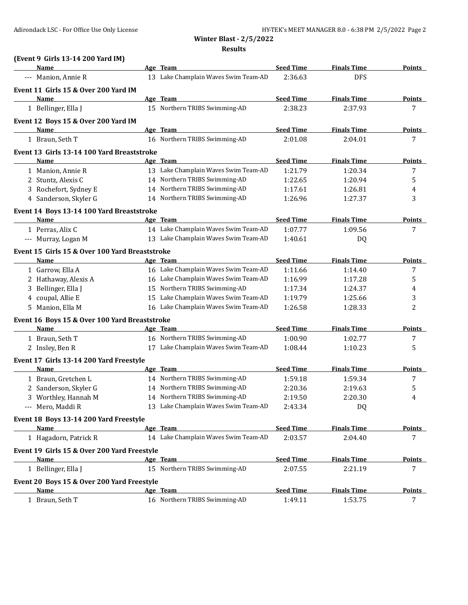**Results**

| (Event 9 Girls 13-14 200 Yard IM)              |                                      |                  |                    |                |
|------------------------------------------------|--------------------------------------|------------------|--------------------|----------------|
| Name                                           | Age Team                             | <b>Seed Time</b> | <b>Finals Time</b> | Points         |
| --- Manion, Annie R                            | 13 Lake Champlain Waves Swim Team-AD | 2:36.63          | <b>DFS</b>         |                |
| Event 11 Girls 15 & Over 200 Yard IM           |                                      |                  |                    |                |
| Name                                           | Age Team                             | <b>Seed Time</b> | <b>Finals Time</b> | <b>Points</b>  |
| 1 Bellinger, Ella J                            | 15 Northern TRIBS Swimming-AD        | 2:38.23          | 2:37.93            | 7              |
| Event 12 Boys 15 & Over 200 Yard IM            |                                      |                  |                    |                |
| Name                                           | Age Team                             | <b>Seed Time</b> | <b>Finals Time</b> | Points         |
| 1 Braun, Seth T                                | 16 Northern TRIBS Swimming-AD        | 2:01.08          | 2:04.01            | 7              |
| Event 13 Girls 13-14 100 Yard Breaststroke     |                                      |                  |                    |                |
| Name                                           | Age Team                             | <b>Seed Time</b> | <b>Finals Time</b> | <u>Points</u>  |
| 1 Manion, Annie R                              | 13 Lake Champlain Waves Swim Team-AD | 1:21.79          | 1:20.34            | 7              |
| 2 Stuntz, Alexis C                             | 14 Northern TRIBS Swimming-AD        | 1:22.65          | 1:20.94            | 5              |
| 3 Rochefort, Sydney E                          | 14 Northern TRIBS Swimming-AD        | 1:17.61          | 1:26.81            | 4              |
| 4 Sanderson, Skyler G                          | 14 Northern TRIBS Swimming-AD        | 1:26.96          | 1:27.37            | 3              |
| Event 14 Boys 13-14 100 Yard Breaststroke      |                                      |                  |                    |                |
| Name                                           | <u>Age Team</u>                      | <b>Seed Time</b> | <b>Finals Time</b> | <b>Points</b>  |
| 1 Perras, Alix C                               | 14 Lake Champlain Waves Swim Team-AD | 1:07.77          | 1:09.56            | 7              |
| --- Murray, Logan M                            | 13 Lake Champlain Waves Swim Team-AD | 1:40.61          | DQ                 |                |
| Event 15 Girls 15 & Over 100 Yard Breaststroke |                                      |                  |                    |                |
| Name                                           | Age Team                             | <b>Seed Time</b> | <b>Finals Time</b> | <b>Points</b>  |
| 1 Garrow, Ella A                               | 16 Lake Champlain Waves Swim Team-AD | 1:11.66          | 1:14.40            | 7              |
| 2 Hathaway, Alexis A                           | 16 Lake Champlain Waves Swim Team-AD | 1:16.99          | 1:17.28            | 5              |
| Bellinger, Ella J<br>3                         | 15 Northern TRIBS Swimming-AD        | 1:17.34          | 1:24.37            | 4              |
| 4 coupal, Allie E                              | 15 Lake Champlain Waves Swim Team-AD | 1:19.79          | 1:25.66            | 3              |
| 5 Manion, Ella M                               | 16 Lake Champlain Waves Swim Team-AD | 1:26.58          | 1:28.33            | $\overline{2}$ |
| Event 16 Boys 15 & Over 100 Yard Breaststroke  |                                      |                  |                    |                |
| Name                                           | Age Team                             | <b>Seed Time</b> | <b>Finals Time</b> | Points         |
| 1 Braun, Seth T                                | 16 Northern TRIBS Swimming-AD        | 1:00.90          | 1:02.77            | 7              |
| 2 Insley, Ben R                                | 17 Lake Champlain Waves Swim Team-AD | 1:08.44          | 1:10.23            | 5              |
| Event 17 Girls 13-14 200 Yard Freestyle        |                                      |                  |                    |                |
| <b>Name</b>                                    | Age Team                             | <b>Seed Time</b> | <b>Finals Time</b> | <b>Points</b>  |
| 1 Braun, Gretchen L                            | 14 Northern TRIBS Swimming-AD        | 1:59.18          | 1:59.34            | 7              |
| 2 Sanderson, Skyler G                          | 14 Northern TRIBS Swimming-AD        | 2:20.36          | 2:19.63            | 5              |
| 3 Worthley, Hannah M                           | 14 Northern TRIBS Swimming-AD        | 2:19.50          | 2:20.30            | 4              |
| --- Mero, Maddi R                              | 13 Lake Champlain Waves Swim Team-AD | 2:43.34          | DQ                 |                |
|                                                |                                      |                  |                    |                |
| Event 18 Boys 13-14 200 Yard Freestyle         |                                      |                  |                    |                |
| <b>Name</b>                                    | Age Team                             | <b>Seed Time</b> | <b>Finals Time</b> | <b>Points</b>  |
| 1 Hagadorn, Patrick R                          | 14 Lake Champlain Waves Swim Team-AD | 2:03.57          | 2:04.40            | 7              |
| Event 19 Girls 15 & Over 200 Yard Freestyle    |                                      |                  |                    |                |
| Name                                           | Age Team                             | <b>Seed Time</b> | <b>Finals Time</b> | <u>Points</u>  |
| 1 Bellinger, Ella J                            | 15 Northern TRIBS Swimming-AD        | 2:07.55          | 2:21.19            | 7              |
| Event 20 Boys 15 & Over 200 Yard Freestyle     |                                      |                  |                    |                |
| Name                                           | Age Team                             | <b>Seed Time</b> | <b>Finals Time</b> | <b>Points</b>  |
| 1 Braun, Seth T                                | 16 Northern TRIBS Swimming-AD        | 1:49.11          | 1:53.75            | 7              |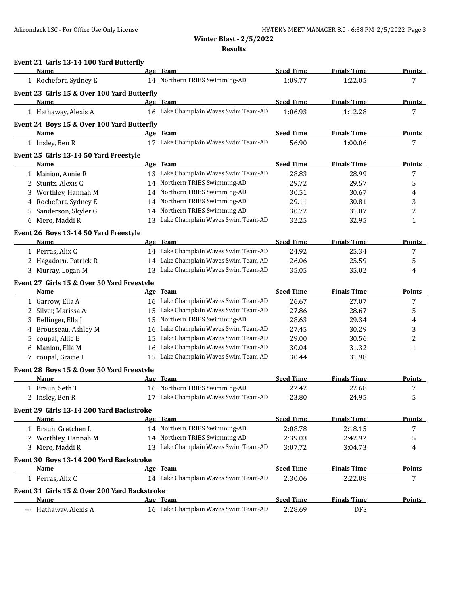**Results**

|   | Event 21 Girls 13-14 100 Yard Butterfly            |    |                                           |                             |                               |                    |
|---|----------------------------------------------------|----|-------------------------------------------|-----------------------------|-------------------------------|--------------------|
|   | Name<br>1 Rochefort, Sydney E                      |    | Age Team<br>14 Northern TRIBS Swimming-AD | <b>Seed Time</b><br>1:09.77 | <b>Finals Time</b><br>1:22.05 | <b>Points</b><br>7 |
|   |                                                    |    |                                           |                             |                               |                    |
|   | Event 23 Girls 15 & Over 100 Yard Butterfly        |    |                                           |                             |                               |                    |
|   | Name                                               |    | Age Team                                  | <b>Seed Time</b>            | <b>Finals Time</b>            | <b>Points</b>      |
|   | 1 Hathaway, Alexis A                               |    | 16 Lake Champlain Waves Swim Team-AD      | 1:06.93                     | 1:12.28                       | 7                  |
|   | Event 24 Boys 15 & Over 100 Yard Butterfly         |    |                                           |                             |                               |                    |
|   | Name                                               |    | Age Team                                  | <b>Seed Time</b>            | <b>Finals Time</b>            | <b>Points</b>      |
|   | 1 Insley, Ben R                                    |    | 17 Lake Champlain Waves Swim Team-AD      | 56.90                       | 1:00.06                       | 7                  |
|   | Event 25 Girls 13-14 50 Yard Freestyle             |    |                                           |                             |                               |                    |
|   | Name                                               |    | Age Team                                  | <b>Seed Time</b>            | <b>Finals Time</b>            | <b>Points</b>      |
|   | 1 Manion, Annie R                                  |    | 13 Lake Champlain Waves Swim Team-AD      | 28.83                       | 28.99                         | 7                  |
|   | 2 Stuntz, Alexis C                                 |    | 14 Northern TRIBS Swimming-AD             | 29.72                       | 29.57                         | 5                  |
|   | 3 Worthley, Hannah M                               |    | 14 Northern TRIBS Swimming-AD             | 30.51                       | 30.67                         | 4                  |
|   | 4 Rochefort, Sydney E                              |    | 14 Northern TRIBS Swimming-AD             | 29.11                       | 30.81                         | 3                  |
|   | 5 Sanderson, Skyler G                              |    | 14 Northern TRIBS Swimming-AD             | 30.72                       | 31.07                         | 2                  |
|   | 6 Mero, Maddi R                                    |    | 13 Lake Champlain Waves Swim Team-AD      | 32.25                       | 32.95                         | 1                  |
|   | Event 26 Boys 13-14 50 Yard Freestyle              |    |                                           |                             |                               |                    |
|   | Name                                               |    | Age Team                                  | <b>Seed Time</b>            | <b>Finals Time</b>            | <b>Points</b>      |
|   | 1 Perras, Alix C                                   |    | 14 Lake Champlain Waves Swim Team-AD      | 24.92                       | 25.34                         | 7                  |
|   | 2 Hagadorn, Patrick R                              |    | 14 Lake Champlain Waves Swim Team-AD      | 26.06                       | 25.59                         | 5                  |
|   | 3 Murray, Logan M                                  |    | 13 Lake Champlain Waves Swim Team-AD      | 35.05                       | 35.02                         | 4                  |
|   |                                                    |    |                                           |                             |                               |                    |
|   | Event 27 Girls 15 & Over 50 Yard Freestyle<br>Name |    | Age Team                                  | <b>Seed Time</b>            | <b>Finals Time</b>            | <b>Points</b>      |
|   | 1 Garrow, Ella A                                   |    | 16 Lake Champlain Waves Swim Team-AD      | 26.67                       | 27.07                         | 7                  |
|   |                                                    |    | 15 Lake Champlain Waves Swim Team-AD      |                             |                               |                    |
|   | 2 Silver, Marissa A                                |    | Northern TRIBS Swimming-AD                | 27.86<br>28.63              | 28.67<br>29.34                | 5                  |
|   | 3 Bellinger, Ella J                                | 15 | Lake Champlain Waves Swim Team-AD         | 27.45                       |                               | 4                  |
|   | 4 Brousseau, Ashley M                              | 16 | 15 Lake Champlain Waves Swim Team-AD      |                             | 30.29                         | 3                  |
| 5 | coupal, Allie E                                    |    |                                           | 29.00                       | 30.56                         | 2                  |
| 6 | Manion, Ella M                                     | 16 | Lake Champlain Waves Swim Team-AD         | 30.04                       | 31.32                         | 1                  |
|   | 7 coupal, Gracie I                                 |    | 15 Lake Champlain Waves Swim Team-AD      | 30.44                       | 31.98                         |                    |
|   | Event 28 Boys 15 & Over 50 Yard Freestyle          |    |                                           |                             |                               |                    |
|   | Name                                               |    | Age Team                                  | <b>Seed Time</b>            | <b>Finals Time</b>            | <b>Points</b>      |
|   | 1 Braun, Seth T                                    |    | 16 Northern TRIBS Swimming-AD             | 22.42                       | 22.68                         | 7                  |
|   | 2 Insley, Ben R                                    |    | 17 Lake Champlain Waves Swim Team-AD      | 23.80                       | 24.95                         | 5                  |
|   | Event 29 Girls 13-14 200 Yard Backstroke           |    |                                           |                             |                               |                    |
|   | Name                                               |    | Age Team                                  | <b>Seed Time</b>            | <b>Finals Time</b>            | <b>Points</b>      |
|   | 1 Braun, Gretchen L                                |    | 14 Northern TRIBS Swimming-AD             | 2:08.78                     | 2:18.15                       | 7                  |
|   | 2 Worthley, Hannah M                               |    | 14 Northern TRIBS Swimming-AD             | 2:39.03                     | 2:42.92                       | 5                  |
|   | 3 Mero, Maddi R                                    |    | 13 Lake Champlain Waves Swim Team-AD      | 3:07.72                     | 3:04.73                       | 4                  |
|   | Event 30 Boys 13-14 200 Yard Backstroke            |    |                                           |                             |                               |                    |
|   | Name                                               |    | Age Team                                  | <b>Seed Time</b>            | <b>Finals Time</b>            | <u>Points</u>      |
|   | 1 Perras, Alix C                                   |    | 14 Lake Champlain Waves Swim Team-AD      | 2:30.06                     | 2:22.08                       | 7                  |
|   |                                                    |    |                                           |                             |                               |                    |
|   | Event 31 Girls 15 & Over 200 Yard Backstroke       |    |                                           |                             |                               |                    |
|   | Name                                               |    | Age Team                                  | <b>Seed Time</b>            | <b>Finals Time</b>            | <b>Points</b>      |
|   | --- Hathaway, Alexis A                             |    | 16 Lake Champlain Waves Swim Team-AD      | 2:28.69                     | <b>DFS</b>                    |                    |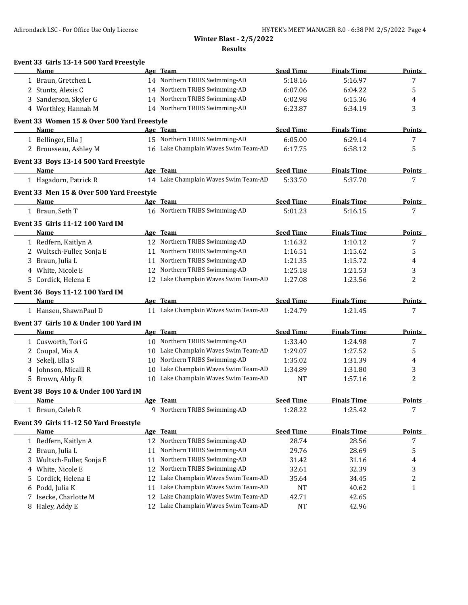**Winter Blast - 2/5/2022 Results**

|             | Event 33 Girls 13-14 500 Yard Freestyle     |    |                                                                        |                  |                    |               |
|-------------|---------------------------------------------|----|------------------------------------------------------------------------|------------------|--------------------|---------------|
| Name        |                                             |    | Age Team                                                               | <b>Seed Time</b> | <b>Finals Time</b> | <b>Points</b> |
|             | 1 Braun. Gretchen L                         |    | 14 Northern TRIBS Swimming-AD                                          | 5:18.16          | 5:16.97            | 7             |
|             | 2 Stuntz, Alexis C                          |    | 14 Northern TRIBS Swimming-AD                                          | 6:07.06          | 6:04.22            | 5             |
|             | 3 Sanderson, Skyler G                       |    | 14 Northern TRIBS Swimming-AD                                          | 6:02.98          | 6:15.36            | 4             |
|             | 4 Worthley, Hannah M                        |    | 14 Northern TRIBS Swimming-AD                                          | 6:23.87          | 6:34.19            | 3             |
|             | Event 33 Women 15 & Over 500 Yard Freestyle |    |                                                                        |                  |                    |               |
| Name        |                                             |    | Age Team                                                               | <b>Seed Time</b> | <b>Finals Time</b> | <b>Points</b> |
|             | 1 Bellinger, Ella J                         |    | 15 Northern TRIBS Swimming-AD                                          | 6:05.00          | 6:29.14            | 7             |
|             | 2 Brousseau, Ashley M                       |    | 16 Lake Champlain Waves Swim Team-AD                                   | 6:17.75          | 6:58.12            | 5             |
|             | Event 33 Boys 13-14 500 Yard Freestyle      |    |                                                                        |                  |                    |               |
| Name        |                                             |    | Age Team                                                               | <b>Seed Time</b> | <b>Finals Time</b> | <b>Points</b> |
|             | 1 Hagadorn, Patrick R                       |    | 14 Lake Champlain Waves Swim Team-AD                                   | 5:33.70          | 5:37.70            | 7             |
|             | Event 33 Men 15 & Over 500 Yard Freestyle   |    |                                                                        |                  |                    |               |
| Name        |                                             |    | Age Team                                                               | <b>Seed Time</b> | <b>Finals Time</b> | Points        |
|             | 1 Braun, Seth T                             |    | 16 Northern TRIBS Swimming-AD                                          | 5:01.23          | 5:16.15            | 7             |
|             | <b>Event 35 Girls 11-12 100 Yard IM</b>     |    |                                                                        |                  |                    |               |
| Name        |                                             |    | Age Team                                                               | <b>Seed Time</b> | <b>Finals Time</b> | <b>Points</b> |
|             | 1 Redfern, Kaitlyn A                        |    | 12 Northern TRIBS Swimming-AD                                          | 1:16.32          | 1:10.12            | 7             |
|             | 2 Wultsch-Fuller, Sonja E                   |    | 11 Northern TRIBS Swimming-AD                                          | 1:16.51          | 1:15.62            | 5             |
|             | 3 Braun, Julia L                            |    | 11 Northern TRIBS Swimming-AD                                          | 1:21.35          | 1:15.72            | 4             |
|             | 4 White, Nicole E                           | 12 | Northern TRIBS Swimming-AD                                             | 1:25.18          | 1:21.53            | 3             |
|             | 5 Cordick, Helena E                         |    | 12 Lake Champlain Waves Swim Team-AD                                   | 1:27.08          | 1:23.56            | 2             |
|             | Event 36 Boys 11-12 100 Yard IM             |    |                                                                        |                  |                    |               |
| Name        |                                             |    | Age Team                                                               | <b>Seed Time</b> | <b>Finals Time</b> | <b>Points</b> |
|             | 1 Hansen, ShawnPaul D                       |    | 11 Lake Champlain Waves Swim Team-AD                                   | 1:24.79          | 1:21.45            | 7             |
|             |                                             |    |                                                                        |                  |                    |               |
|             | Event 37 Girls 10 & Under 100 Yard IM       |    |                                                                        |                  |                    |               |
| Name        |                                             |    | Age Team                                                               | <b>Seed Time</b> | <b>Finals Time</b> | <b>Points</b> |
|             | 1 Cusworth, Tori G                          |    | 10 Northern TRIBS Swimming-AD                                          | 1:33.40          | 1:24.98            | 7             |
|             | 2 Coupal, Mia A                             | 10 | Lake Champlain Waves Swim Team-AD                                      | 1:29.07          | 1:27.52            | 5             |
|             | 3 Sekelj, Ella S                            | 10 | Northern TRIBS Swimming-AD                                             | 1:35.02          | 1:31.39            | 4             |
|             | 4 Johnson, Micalli R                        | 10 | Lake Champlain Waves Swim Team-AD                                      | 1:34.89          | 1:31.80            | 3             |
|             | 5 Brown, Abby R                             |    | 10 Lake Champlain Waves Swim Team-AD                                   | <b>NT</b>        | 1:57.16            | 2             |
|             | Event 38 Boys 10 & Under 100 Yard IM        |    |                                                                        |                  |                    |               |
| <u>Name</u> |                                             |    | Age Team                                                               | <b>Seed Time</b> | <b>Finals Time</b> | <b>Points</b> |
|             | 1 Braun, Caleb R                            |    | 9 Northern TRIBS Swimming-AD                                           | 1:28.22          | 1:25.42            | 7             |
|             | Event 39 Girls 11-12 50 Yard Freestyle      |    |                                                                        |                  |                    |               |
| Name        |                                             |    | Age Team                                                               | <b>Seed Time</b> | <b>Finals Time</b> | <b>Points</b> |
|             | 1 Redfern, Kaitlyn A                        |    | 12 Northern TRIBS Swimming-AD                                          | 28.74            | 28.56              | 7             |
|             | 2 Braun, Julia L                            | 11 | Northern TRIBS Swimming-AD                                             | 29.76            | 28.69              | 5             |
|             | 3 Wultsch-Fuller, Sonja E                   | 11 | Northern TRIBS Swimming-AD                                             | 31.42            | 31.16              | 4             |
| 4           | White, Nicole E                             |    | 12 Northern TRIBS Swimming-AD                                          | 32.61            | 32.39              | 3             |
| 5           | Cordick, Helena E                           | 12 | Lake Champlain Waves Swim Team-AD                                      | 35.64            | 34.45              | 2             |
| 6           | Podd, Julia K                               | 11 | Lake Champlain Waves Swim Team-AD                                      | NT               | 40.62              | 1             |
| 7           | Isecke, Charlotte M<br>8 Haley, Addy E      | 12 | Lake Champlain Waves Swim Team-AD<br>Lake Champlain Waves Swim Team-AD | 42.71            | 42.65<br>42.96     |               |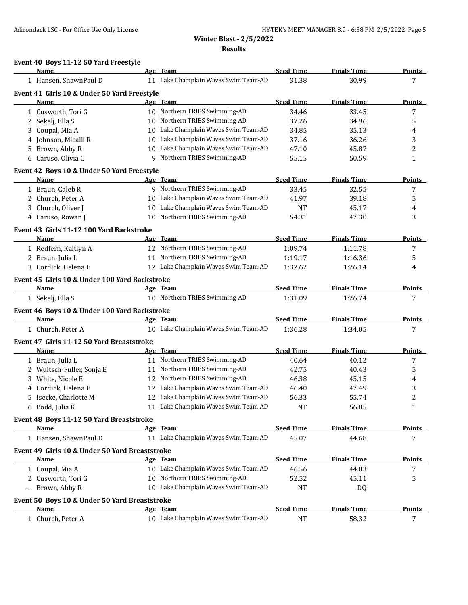**Results**

## **Event 40 Boys 11-12 50 Yard Freestyle**

|    | Name                                                 |    | Age Team                                                               | <b>Seed Time</b>   | <b>Finals Time</b> | <b>Points</b>                  |
|----|------------------------------------------------------|----|------------------------------------------------------------------------|--------------------|--------------------|--------------------------------|
|    | 1 Hansen, ShawnPaul D                                |    | 11 Lake Champlain Waves Swim Team-AD                                   | 31.38              | 30.99              | 7                              |
|    | Event 41 Girls 10 & Under 50 Yard Freestyle          |    |                                                                        |                    |                    |                                |
|    | Name                                                 |    | Age Team                                                               | <b>Seed Time</b>   | <b>Finals Time</b> | <u>Points</u>                  |
|    | 1 Cusworth, Tori G                                   |    | 10 Northern TRIBS Swimming-AD                                          | 34.46              | 33.45              | 7                              |
|    | 2 Sekelj, Ella S                                     |    | 10 Northern TRIBS Swimming-AD                                          | 37.26              | 34.96              | 5                              |
| 3  | Coupal, Mia A                                        |    | 10 Lake Champlain Waves Swim Team-AD                                   | 34.85              | 35.13              | 4                              |
| 4  | Johnson, Micalli R                                   | 10 | Lake Champlain Waves Swim Team-AD                                      | 37.16              | 36.26              | 3                              |
| 5. | Brown, Abby R                                        | 10 | Lake Champlain Waves Swim Team-AD                                      | 47.10              | 45.87              | 2                              |
|    | 6 Caruso, Olivia C                                   | 9  | Northern TRIBS Swimming-AD                                             | 55.15              | 50.59              | 1                              |
|    | Event 42 Boys 10 & Under 50 Yard Freestyle           |    |                                                                        |                    |                    |                                |
|    | Name                                                 |    | Age Team                                                               | <b>Seed Time</b>   | <b>Finals Time</b> | <b>Points</b>                  |
|    | 1 Braun, Caleb R                                     |    | 9 Northern TRIBS Swimming-AD                                           | 33.45              | 32.55              | 7                              |
|    | 2 Church, Peter A                                    | 10 | Lake Champlain Waves Swim Team-AD                                      | 41.97              | 39.18              | 5                              |
|    | 3 Church, Oliver J                                   | 10 | Lake Champlain Waves Swim Team-AD                                      | <b>NT</b>          | 45.17              | 4                              |
|    | 4 Caruso, Rowan J                                    | 10 | Northern TRIBS Swimming-AD                                             | 54.31              | 47.30              | 3                              |
|    | Event 43 Girls 11-12 100 Yard Backstroke             |    |                                                                        |                    |                    |                                |
|    | Name                                                 |    | Age Team                                                               | <b>Seed Time</b>   | <b>Finals Time</b> | Points                         |
|    | 1 Redfern, Kaitlyn A                                 |    | 12 Northern TRIBS Swimming-AD                                          | 1:09.74            | 1:11.78            | 7                              |
|    | 2 Braun, Julia L                                     |    | 11 Northern TRIBS Swimming-AD                                          | 1:19.17            | 1:16.36            | 5                              |
|    | 3 Cordick, Helena E                                  |    | 12 Lake Champlain Waves Swim Team-AD                                   | 1:32.62            | 1:26.14            | 4                              |
|    | Event 45 Girls 10 & Under 100 Yard Backstroke        |    |                                                                        |                    |                    |                                |
|    | Name                                                 |    | Age Team                                                               | <b>Seed Time</b>   | <b>Finals Time</b> | Points                         |
|    | 1 Sekelj, Ella S                                     |    | 10 Northern TRIBS Swimming-AD                                          | 1:31.09            | 1:26.74            | 7                              |
|    |                                                      |    |                                                                        |                    |                    |                                |
|    | Event 46 Boys 10 & Under 100 Yard Backstroke<br>Name |    | Age Team                                                               | <b>Seed Time</b>   | <b>Finals Time</b> | <b>Points</b>                  |
|    | 1 Church, Peter A                                    |    | 10 Lake Champlain Waves Swim Team-AD                                   | 1:36.28            | 1:34.05            | 7                              |
|    |                                                      |    |                                                                        |                    |                    |                                |
|    | Event 47 Girls 11-12 50 Yard Breaststroke            |    |                                                                        |                    |                    |                                |
|    | Name                                                 |    | Age Team                                                               | <b>Seed Time</b>   | <b>Finals Time</b> | Points                         |
|    | 1 Braun, Julia L                                     |    | 11 Northern TRIBS Swimming-AD                                          | 40.64              | 40.12              | 7                              |
|    | 2 Wultsch-Fuller, Sonja E                            |    | 11 Northern TRIBS Swimming-AD                                          | 42.75              | 40.43              | 5                              |
| 3. | White, Nicole E                                      | 12 | Northern TRIBS Swimming-AD                                             | 46.38              | 45.15              | 4                              |
| 4  | Cordick, Helena E                                    | 12 | Lake Champlain Waves Swim Team-AD<br>Lake Champlain Waves Swim Team-AD | 46.40              | 47.49              | 3                              |
| 5. | Isecke, Charlotte M                                  | 12 | 11 Lake Champlain Waves Swim Team-AD                                   | 56.33<br><b>NT</b> | 55.74<br>56.85     | $\overline{c}$<br>$\mathbf{1}$ |
|    | 6 Podd, Julia K                                      |    |                                                                        |                    |                    |                                |
|    | Event 48 Boys 11-12 50 Yard Breaststroke             |    |                                                                        |                    |                    |                                |
|    | Name                                                 |    | Age Team                                                               | <b>Seed Time</b>   | <b>Finals Time</b> | <b>Points</b>                  |
|    | 1 Hansen, ShawnPaul D                                |    | 11 Lake Champlain Waves Swim Team-AD                                   | 45.07              | 44.68              | 7                              |
|    | Event 49 Girls 10 & Under 50 Yard Breaststroke       |    |                                                                        |                    |                    |                                |
|    | <b>Name</b>                                          |    | Age Team                                                               | <b>Seed Time</b>   | <b>Finals Time</b> | <b>Points</b>                  |
|    | 1 Coupal, Mia A                                      |    | 10 Lake Champlain Waves Swim Team-AD                                   | 46.56              | 44.03              | 7                              |
|    | 2 Cusworth, Tori G                                   |    | 10 Northern TRIBS Swimming-AD                                          | 52.52              | 45.11              | 5                              |
|    | --- Brown, Abby R                                    |    | 10 Lake Champlain Waves Swim Team-AD                                   | <b>NT</b>          | DQ                 |                                |
|    | Event 50 Boys 10 & Under 50 Yard Breaststroke        |    |                                                                        |                    |                    |                                |
|    | <b>Name</b>                                          |    | Age Team                                                               | <b>Seed Time</b>   | <b>Finals Time</b> | <b>Points</b>                  |
|    | 1 Church, Peter A                                    |    | 10 Lake Champlain Waves Swim Team-AD                                   | <b>NT</b>          | 58.32              | 7                              |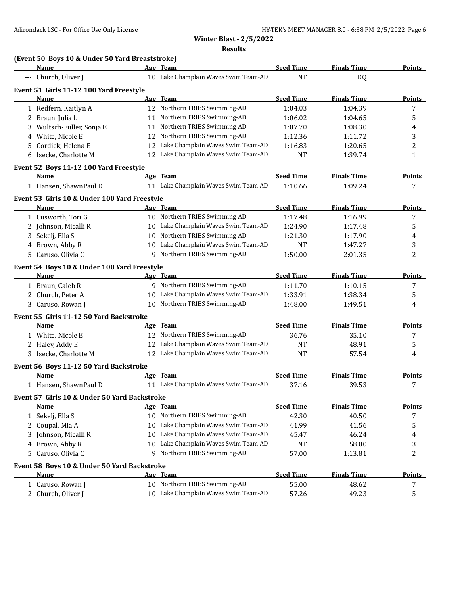**Results**

| <b>Seed Time</b><br><b>Finals Time</b><br>Name<br>Age Team<br>10 Lake Champlain Waves Swim Team-AD<br>--- Church, Oliver J<br><b>NT</b><br>DQ<br>Event 51 Girls 11-12 100 Yard Freestyle<br><b>Seed Time</b><br>Age Team<br><b>Finals Time</b><br><b>Points</b><br><u>Name</u><br>12 Northern TRIBS Swimming-AD<br>7<br>1 Redfern, Kaitlyn A<br>1:04.03<br>1:04.39<br>11 Northern TRIBS Swimming-AD<br>5<br>2 Braun, Julia L<br>1:06.02<br>1:04.65<br>Northern TRIBS Swimming-AD<br>3 Wultsch-Fuller, Sonja E<br>1:07.70<br>1:08.30<br>4<br>11<br>Northern TRIBS Swimming-AD<br>White, Nicole E<br>1:12.36<br>3<br>12<br>1:11.72<br>5 Cordick, Helena E<br>Lake Champlain Waves Swim Team-AD<br>2<br>1:16.83<br>1:20.65<br>12<br>Lake Champlain Waves Swim Team-AD<br><b>NT</b><br>6 Isecke, Charlotte M<br>1:39.74<br>$\mathbf{1}$<br>12<br>Event 52 Boys 11-12 100 Yard Freestyle<br><b>Seed Time</b><br>Age Team<br><b>Finals Time</b><br>Name<br><b>Points</b><br>1 Hansen, ShawnPaul D<br>11 Lake Champlain Waves Swim Team-AD<br>1:10.66<br>1:09.24<br>7<br>Event 53 Girls 10 & Under 100 Yard Freestyle<br><b>Seed Time</b><br><b>Finals Time</b><br>Name<br>Age Team<br>Points<br>10 Northern TRIBS Swimming-AD<br>7<br>1 Cusworth, Tori G<br>1:17.48<br>1:16.99<br>10 Lake Champlain Waves Swim Team-AD<br>5<br>2 Johnson, Micalli R<br>1:24.90<br>1:17.48<br>Northern TRIBS Swimming-AD<br>3 Sekelj, Ella S<br>10<br>1:21.30<br>1:17.90<br>4<br>4 Brown, Abby R<br>10 Lake Champlain Waves Swim Team-AD<br>3<br><b>NT</b><br>1:47.27<br>5 Caruso, Olivia C<br>Northern TRIBS Swimming-AD<br>2<br>1:50.00<br>9<br>2:01.35<br>Event 54 Boys 10 & Under 100 Yard Freestyle<br><b>Seed Time</b><br><b>Finals Time</b><br>Name<br>Age Team<br><b>Points</b><br>1 Braun, Caleb R<br>9 Northern TRIBS Swimming-AD<br>1:11.70<br>1:10.15<br>7<br>Lake Champlain Waves Swim Team-AD<br>2 Church, Peter A<br>1:38.34<br>1:33.91<br>5<br>10<br>10 Northern TRIBS Swimming-AD<br>3 Caruso, Rowan J<br>1:48.00<br>1:49.51<br>4<br>Event 55 Girls 11-12 50 Yard Backstroke<br><b>Seed Time</b><br><b>Finals Time</b><br><b>Name</b><br>Age Team<br><b>Points</b><br>12 Northern TRIBS Swimming-AD<br>36.76<br>7<br>1 White, Nicole E<br>35.10<br>12 Lake Champlain Waves Swim Team-AD<br>2 Haley, Addy E<br><b>NT</b><br>48.91<br>5<br>3 Isecke, Charlotte M<br>12 Lake Champlain Waves Swim Team-AD<br><b>NT</b><br>57.54<br>4<br>Event 56 Boys 11-12 50 Yard Backstroke<br>Age Team<br><b>Seed Time</b><br><b>Finals Time</b><br>Name<br><b>Points</b><br>11 Lake Champlain Waves Swim Team-AD<br>1 Hansen, ShawnPaul D<br>37.16<br>39.53<br>7<br>Event 57 Girls 10 & Under 50 Yard Backstroke<br><b>Seed Time</b><br><b>Finals Time</b><br>Age Team<br><u>Name</u><br>10 Northern TRIBS Swimming-AD<br>1 Sekelj, Ella S<br>42.30<br>40.50<br>7<br>Lake Champlain Waves Swim Team-AD<br>41.99<br>2 Coupal, Mia A<br>41.56<br>5<br>10<br>Lake Champlain Waves Swim Team-AD<br>Johnson, Micalli R<br>45.47<br>46.24<br>3<br>10<br>4<br>Lake Champlain Waves Swim Team-AD<br>4 Brown, Abby R<br><b>NT</b><br>58.00<br>3<br>10<br>Northern TRIBS Swimming-AD<br>57.00<br>2<br>Caruso, Olivia C<br>1:13.81<br>5<br>9<br>Event 58 Boys 10 & Under 50 Yard Backstroke<br><b>Seed Time</b><br>Age Team<br><b>Finals Time</b><br><b>Name</b><br>10 Northern TRIBS Swimming-AD<br>55.00<br>1 Caruso, Rowan J<br>48.62<br>7<br>10 Lake Champlain Waves Swim Team-AD<br>2 Church, Oliver J<br>49.23<br>5<br>57.26 | (Event 50 Boys 10 & Under 50 Yard Breaststroke) |  |  |               |
|-----------------------------------------------------------------------------------------------------------------------------------------------------------------------------------------------------------------------------------------------------------------------------------------------------------------------------------------------------------------------------------------------------------------------------------------------------------------------------------------------------------------------------------------------------------------------------------------------------------------------------------------------------------------------------------------------------------------------------------------------------------------------------------------------------------------------------------------------------------------------------------------------------------------------------------------------------------------------------------------------------------------------------------------------------------------------------------------------------------------------------------------------------------------------------------------------------------------------------------------------------------------------------------------------------------------------------------------------------------------------------------------------------------------------------------------------------------------------------------------------------------------------------------------------------------------------------------------------------------------------------------------------------------------------------------------------------------------------------------------------------------------------------------------------------------------------------------------------------------------------------------------------------------------------------------------------------------------------------------------------------------------------------------------------------------------------------------------------------------------------------------------------------------------------------------------------------------------------------------------------------------------------------------------------------------------------------------------------------------------------------------------------------------------------------------------------------------------------------------------------------------------------------------------------------------------------------------------------------------------------------------------------------------------------------------------------------------------------------------------------------------------------------------------------------------------------------------------------------------------------------------------------------------------------------------------------------------------------------------------------------------------------------------------------------------------------------------------------------------------------------------------------------------------------------------------------------------------------------------------------------------------------------------------------------------------------------------------------------------------------------------------------------------------------------------------------------------------------------------------------------|-------------------------------------------------|--|--|---------------|
|                                                                                                                                                                                                                                                                                                                                                                                                                                                                                                                                                                                                                                                                                                                                                                                                                                                                                                                                                                                                                                                                                                                                                                                                                                                                                                                                                                                                                                                                                                                                                                                                                                                                                                                                                                                                                                                                                                                                                                                                                                                                                                                                                                                                                                                                                                                                                                                                                                                                                                                                                                                                                                                                                                                                                                                                                                                                                                                                                                                                                                                                                                                                                                                                                                                                                                                                                                                                                                                                                                     |                                                 |  |  | Points        |
|                                                                                                                                                                                                                                                                                                                                                                                                                                                                                                                                                                                                                                                                                                                                                                                                                                                                                                                                                                                                                                                                                                                                                                                                                                                                                                                                                                                                                                                                                                                                                                                                                                                                                                                                                                                                                                                                                                                                                                                                                                                                                                                                                                                                                                                                                                                                                                                                                                                                                                                                                                                                                                                                                                                                                                                                                                                                                                                                                                                                                                                                                                                                                                                                                                                                                                                                                                                                                                                                                                     |                                                 |  |  |               |
|                                                                                                                                                                                                                                                                                                                                                                                                                                                                                                                                                                                                                                                                                                                                                                                                                                                                                                                                                                                                                                                                                                                                                                                                                                                                                                                                                                                                                                                                                                                                                                                                                                                                                                                                                                                                                                                                                                                                                                                                                                                                                                                                                                                                                                                                                                                                                                                                                                                                                                                                                                                                                                                                                                                                                                                                                                                                                                                                                                                                                                                                                                                                                                                                                                                                                                                                                                                                                                                                                                     |                                                 |  |  |               |
|                                                                                                                                                                                                                                                                                                                                                                                                                                                                                                                                                                                                                                                                                                                                                                                                                                                                                                                                                                                                                                                                                                                                                                                                                                                                                                                                                                                                                                                                                                                                                                                                                                                                                                                                                                                                                                                                                                                                                                                                                                                                                                                                                                                                                                                                                                                                                                                                                                                                                                                                                                                                                                                                                                                                                                                                                                                                                                                                                                                                                                                                                                                                                                                                                                                                                                                                                                                                                                                                                                     |                                                 |  |  |               |
|                                                                                                                                                                                                                                                                                                                                                                                                                                                                                                                                                                                                                                                                                                                                                                                                                                                                                                                                                                                                                                                                                                                                                                                                                                                                                                                                                                                                                                                                                                                                                                                                                                                                                                                                                                                                                                                                                                                                                                                                                                                                                                                                                                                                                                                                                                                                                                                                                                                                                                                                                                                                                                                                                                                                                                                                                                                                                                                                                                                                                                                                                                                                                                                                                                                                                                                                                                                                                                                                                                     |                                                 |  |  |               |
|                                                                                                                                                                                                                                                                                                                                                                                                                                                                                                                                                                                                                                                                                                                                                                                                                                                                                                                                                                                                                                                                                                                                                                                                                                                                                                                                                                                                                                                                                                                                                                                                                                                                                                                                                                                                                                                                                                                                                                                                                                                                                                                                                                                                                                                                                                                                                                                                                                                                                                                                                                                                                                                                                                                                                                                                                                                                                                                                                                                                                                                                                                                                                                                                                                                                                                                                                                                                                                                                                                     |                                                 |  |  |               |
|                                                                                                                                                                                                                                                                                                                                                                                                                                                                                                                                                                                                                                                                                                                                                                                                                                                                                                                                                                                                                                                                                                                                                                                                                                                                                                                                                                                                                                                                                                                                                                                                                                                                                                                                                                                                                                                                                                                                                                                                                                                                                                                                                                                                                                                                                                                                                                                                                                                                                                                                                                                                                                                                                                                                                                                                                                                                                                                                                                                                                                                                                                                                                                                                                                                                                                                                                                                                                                                                                                     |                                                 |  |  |               |
|                                                                                                                                                                                                                                                                                                                                                                                                                                                                                                                                                                                                                                                                                                                                                                                                                                                                                                                                                                                                                                                                                                                                                                                                                                                                                                                                                                                                                                                                                                                                                                                                                                                                                                                                                                                                                                                                                                                                                                                                                                                                                                                                                                                                                                                                                                                                                                                                                                                                                                                                                                                                                                                                                                                                                                                                                                                                                                                                                                                                                                                                                                                                                                                                                                                                                                                                                                                                                                                                                                     |                                                 |  |  |               |
|                                                                                                                                                                                                                                                                                                                                                                                                                                                                                                                                                                                                                                                                                                                                                                                                                                                                                                                                                                                                                                                                                                                                                                                                                                                                                                                                                                                                                                                                                                                                                                                                                                                                                                                                                                                                                                                                                                                                                                                                                                                                                                                                                                                                                                                                                                                                                                                                                                                                                                                                                                                                                                                                                                                                                                                                                                                                                                                                                                                                                                                                                                                                                                                                                                                                                                                                                                                                                                                                                                     |                                                 |  |  |               |
|                                                                                                                                                                                                                                                                                                                                                                                                                                                                                                                                                                                                                                                                                                                                                                                                                                                                                                                                                                                                                                                                                                                                                                                                                                                                                                                                                                                                                                                                                                                                                                                                                                                                                                                                                                                                                                                                                                                                                                                                                                                                                                                                                                                                                                                                                                                                                                                                                                                                                                                                                                                                                                                                                                                                                                                                                                                                                                                                                                                                                                                                                                                                                                                                                                                                                                                                                                                                                                                                                                     |                                                 |  |  |               |
|                                                                                                                                                                                                                                                                                                                                                                                                                                                                                                                                                                                                                                                                                                                                                                                                                                                                                                                                                                                                                                                                                                                                                                                                                                                                                                                                                                                                                                                                                                                                                                                                                                                                                                                                                                                                                                                                                                                                                                                                                                                                                                                                                                                                                                                                                                                                                                                                                                                                                                                                                                                                                                                                                                                                                                                                                                                                                                                                                                                                                                                                                                                                                                                                                                                                                                                                                                                                                                                                                                     |                                                 |  |  |               |
|                                                                                                                                                                                                                                                                                                                                                                                                                                                                                                                                                                                                                                                                                                                                                                                                                                                                                                                                                                                                                                                                                                                                                                                                                                                                                                                                                                                                                                                                                                                                                                                                                                                                                                                                                                                                                                                                                                                                                                                                                                                                                                                                                                                                                                                                                                                                                                                                                                                                                                                                                                                                                                                                                                                                                                                                                                                                                                                                                                                                                                                                                                                                                                                                                                                                                                                                                                                                                                                                                                     |                                                 |  |  |               |
|                                                                                                                                                                                                                                                                                                                                                                                                                                                                                                                                                                                                                                                                                                                                                                                                                                                                                                                                                                                                                                                                                                                                                                                                                                                                                                                                                                                                                                                                                                                                                                                                                                                                                                                                                                                                                                                                                                                                                                                                                                                                                                                                                                                                                                                                                                                                                                                                                                                                                                                                                                                                                                                                                                                                                                                                                                                                                                                                                                                                                                                                                                                                                                                                                                                                                                                                                                                                                                                                                                     |                                                 |  |  |               |
|                                                                                                                                                                                                                                                                                                                                                                                                                                                                                                                                                                                                                                                                                                                                                                                                                                                                                                                                                                                                                                                                                                                                                                                                                                                                                                                                                                                                                                                                                                                                                                                                                                                                                                                                                                                                                                                                                                                                                                                                                                                                                                                                                                                                                                                                                                                                                                                                                                                                                                                                                                                                                                                                                                                                                                                                                                                                                                                                                                                                                                                                                                                                                                                                                                                                                                                                                                                                                                                                                                     |                                                 |  |  |               |
|                                                                                                                                                                                                                                                                                                                                                                                                                                                                                                                                                                                                                                                                                                                                                                                                                                                                                                                                                                                                                                                                                                                                                                                                                                                                                                                                                                                                                                                                                                                                                                                                                                                                                                                                                                                                                                                                                                                                                                                                                                                                                                                                                                                                                                                                                                                                                                                                                                                                                                                                                                                                                                                                                                                                                                                                                                                                                                                                                                                                                                                                                                                                                                                                                                                                                                                                                                                                                                                                                                     |                                                 |  |  |               |
|                                                                                                                                                                                                                                                                                                                                                                                                                                                                                                                                                                                                                                                                                                                                                                                                                                                                                                                                                                                                                                                                                                                                                                                                                                                                                                                                                                                                                                                                                                                                                                                                                                                                                                                                                                                                                                                                                                                                                                                                                                                                                                                                                                                                                                                                                                                                                                                                                                                                                                                                                                                                                                                                                                                                                                                                                                                                                                                                                                                                                                                                                                                                                                                                                                                                                                                                                                                                                                                                                                     |                                                 |  |  |               |
|                                                                                                                                                                                                                                                                                                                                                                                                                                                                                                                                                                                                                                                                                                                                                                                                                                                                                                                                                                                                                                                                                                                                                                                                                                                                                                                                                                                                                                                                                                                                                                                                                                                                                                                                                                                                                                                                                                                                                                                                                                                                                                                                                                                                                                                                                                                                                                                                                                                                                                                                                                                                                                                                                                                                                                                                                                                                                                                                                                                                                                                                                                                                                                                                                                                                                                                                                                                                                                                                                                     |                                                 |  |  |               |
|                                                                                                                                                                                                                                                                                                                                                                                                                                                                                                                                                                                                                                                                                                                                                                                                                                                                                                                                                                                                                                                                                                                                                                                                                                                                                                                                                                                                                                                                                                                                                                                                                                                                                                                                                                                                                                                                                                                                                                                                                                                                                                                                                                                                                                                                                                                                                                                                                                                                                                                                                                                                                                                                                                                                                                                                                                                                                                                                                                                                                                                                                                                                                                                                                                                                                                                                                                                                                                                                                                     |                                                 |  |  |               |
|                                                                                                                                                                                                                                                                                                                                                                                                                                                                                                                                                                                                                                                                                                                                                                                                                                                                                                                                                                                                                                                                                                                                                                                                                                                                                                                                                                                                                                                                                                                                                                                                                                                                                                                                                                                                                                                                                                                                                                                                                                                                                                                                                                                                                                                                                                                                                                                                                                                                                                                                                                                                                                                                                                                                                                                                                                                                                                                                                                                                                                                                                                                                                                                                                                                                                                                                                                                                                                                                                                     |                                                 |  |  |               |
|                                                                                                                                                                                                                                                                                                                                                                                                                                                                                                                                                                                                                                                                                                                                                                                                                                                                                                                                                                                                                                                                                                                                                                                                                                                                                                                                                                                                                                                                                                                                                                                                                                                                                                                                                                                                                                                                                                                                                                                                                                                                                                                                                                                                                                                                                                                                                                                                                                                                                                                                                                                                                                                                                                                                                                                                                                                                                                                                                                                                                                                                                                                                                                                                                                                                                                                                                                                                                                                                                                     |                                                 |  |  |               |
|                                                                                                                                                                                                                                                                                                                                                                                                                                                                                                                                                                                                                                                                                                                                                                                                                                                                                                                                                                                                                                                                                                                                                                                                                                                                                                                                                                                                                                                                                                                                                                                                                                                                                                                                                                                                                                                                                                                                                                                                                                                                                                                                                                                                                                                                                                                                                                                                                                                                                                                                                                                                                                                                                                                                                                                                                                                                                                                                                                                                                                                                                                                                                                                                                                                                                                                                                                                                                                                                                                     |                                                 |  |  |               |
|                                                                                                                                                                                                                                                                                                                                                                                                                                                                                                                                                                                                                                                                                                                                                                                                                                                                                                                                                                                                                                                                                                                                                                                                                                                                                                                                                                                                                                                                                                                                                                                                                                                                                                                                                                                                                                                                                                                                                                                                                                                                                                                                                                                                                                                                                                                                                                                                                                                                                                                                                                                                                                                                                                                                                                                                                                                                                                                                                                                                                                                                                                                                                                                                                                                                                                                                                                                                                                                                                                     |                                                 |  |  |               |
|                                                                                                                                                                                                                                                                                                                                                                                                                                                                                                                                                                                                                                                                                                                                                                                                                                                                                                                                                                                                                                                                                                                                                                                                                                                                                                                                                                                                                                                                                                                                                                                                                                                                                                                                                                                                                                                                                                                                                                                                                                                                                                                                                                                                                                                                                                                                                                                                                                                                                                                                                                                                                                                                                                                                                                                                                                                                                                                                                                                                                                                                                                                                                                                                                                                                                                                                                                                                                                                                                                     |                                                 |  |  |               |
|                                                                                                                                                                                                                                                                                                                                                                                                                                                                                                                                                                                                                                                                                                                                                                                                                                                                                                                                                                                                                                                                                                                                                                                                                                                                                                                                                                                                                                                                                                                                                                                                                                                                                                                                                                                                                                                                                                                                                                                                                                                                                                                                                                                                                                                                                                                                                                                                                                                                                                                                                                                                                                                                                                                                                                                                                                                                                                                                                                                                                                                                                                                                                                                                                                                                                                                                                                                                                                                                                                     |                                                 |  |  |               |
|                                                                                                                                                                                                                                                                                                                                                                                                                                                                                                                                                                                                                                                                                                                                                                                                                                                                                                                                                                                                                                                                                                                                                                                                                                                                                                                                                                                                                                                                                                                                                                                                                                                                                                                                                                                                                                                                                                                                                                                                                                                                                                                                                                                                                                                                                                                                                                                                                                                                                                                                                                                                                                                                                                                                                                                                                                                                                                                                                                                                                                                                                                                                                                                                                                                                                                                                                                                                                                                                                                     |                                                 |  |  |               |
|                                                                                                                                                                                                                                                                                                                                                                                                                                                                                                                                                                                                                                                                                                                                                                                                                                                                                                                                                                                                                                                                                                                                                                                                                                                                                                                                                                                                                                                                                                                                                                                                                                                                                                                                                                                                                                                                                                                                                                                                                                                                                                                                                                                                                                                                                                                                                                                                                                                                                                                                                                                                                                                                                                                                                                                                                                                                                                                                                                                                                                                                                                                                                                                                                                                                                                                                                                                                                                                                                                     |                                                 |  |  |               |
|                                                                                                                                                                                                                                                                                                                                                                                                                                                                                                                                                                                                                                                                                                                                                                                                                                                                                                                                                                                                                                                                                                                                                                                                                                                                                                                                                                                                                                                                                                                                                                                                                                                                                                                                                                                                                                                                                                                                                                                                                                                                                                                                                                                                                                                                                                                                                                                                                                                                                                                                                                                                                                                                                                                                                                                                                                                                                                                                                                                                                                                                                                                                                                                                                                                                                                                                                                                                                                                                                                     |                                                 |  |  |               |
|                                                                                                                                                                                                                                                                                                                                                                                                                                                                                                                                                                                                                                                                                                                                                                                                                                                                                                                                                                                                                                                                                                                                                                                                                                                                                                                                                                                                                                                                                                                                                                                                                                                                                                                                                                                                                                                                                                                                                                                                                                                                                                                                                                                                                                                                                                                                                                                                                                                                                                                                                                                                                                                                                                                                                                                                                                                                                                                                                                                                                                                                                                                                                                                                                                                                                                                                                                                                                                                                                                     |                                                 |  |  |               |
|                                                                                                                                                                                                                                                                                                                                                                                                                                                                                                                                                                                                                                                                                                                                                                                                                                                                                                                                                                                                                                                                                                                                                                                                                                                                                                                                                                                                                                                                                                                                                                                                                                                                                                                                                                                                                                                                                                                                                                                                                                                                                                                                                                                                                                                                                                                                                                                                                                                                                                                                                                                                                                                                                                                                                                                                                                                                                                                                                                                                                                                                                                                                                                                                                                                                                                                                                                                                                                                                                                     |                                                 |  |  |               |
|                                                                                                                                                                                                                                                                                                                                                                                                                                                                                                                                                                                                                                                                                                                                                                                                                                                                                                                                                                                                                                                                                                                                                                                                                                                                                                                                                                                                                                                                                                                                                                                                                                                                                                                                                                                                                                                                                                                                                                                                                                                                                                                                                                                                                                                                                                                                                                                                                                                                                                                                                                                                                                                                                                                                                                                                                                                                                                                                                                                                                                                                                                                                                                                                                                                                                                                                                                                                                                                                                                     |                                                 |  |  |               |
|                                                                                                                                                                                                                                                                                                                                                                                                                                                                                                                                                                                                                                                                                                                                                                                                                                                                                                                                                                                                                                                                                                                                                                                                                                                                                                                                                                                                                                                                                                                                                                                                                                                                                                                                                                                                                                                                                                                                                                                                                                                                                                                                                                                                                                                                                                                                                                                                                                                                                                                                                                                                                                                                                                                                                                                                                                                                                                                                                                                                                                                                                                                                                                                                                                                                                                                                                                                                                                                                                                     |                                                 |  |  |               |
|                                                                                                                                                                                                                                                                                                                                                                                                                                                                                                                                                                                                                                                                                                                                                                                                                                                                                                                                                                                                                                                                                                                                                                                                                                                                                                                                                                                                                                                                                                                                                                                                                                                                                                                                                                                                                                                                                                                                                                                                                                                                                                                                                                                                                                                                                                                                                                                                                                                                                                                                                                                                                                                                                                                                                                                                                                                                                                                                                                                                                                                                                                                                                                                                                                                                                                                                                                                                                                                                                                     |                                                 |  |  |               |
|                                                                                                                                                                                                                                                                                                                                                                                                                                                                                                                                                                                                                                                                                                                                                                                                                                                                                                                                                                                                                                                                                                                                                                                                                                                                                                                                                                                                                                                                                                                                                                                                                                                                                                                                                                                                                                                                                                                                                                                                                                                                                                                                                                                                                                                                                                                                                                                                                                                                                                                                                                                                                                                                                                                                                                                                                                                                                                                                                                                                                                                                                                                                                                                                                                                                                                                                                                                                                                                                                                     |                                                 |  |  |               |
|                                                                                                                                                                                                                                                                                                                                                                                                                                                                                                                                                                                                                                                                                                                                                                                                                                                                                                                                                                                                                                                                                                                                                                                                                                                                                                                                                                                                                                                                                                                                                                                                                                                                                                                                                                                                                                                                                                                                                                                                                                                                                                                                                                                                                                                                                                                                                                                                                                                                                                                                                                                                                                                                                                                                                                                                                                                                                                                                                                                                                                                                                                                                                                                                                                                                                                                                                                                                                                                                                                     |                                                 |  |  |               |
|                                                                                                                                                                                                                                                                                                                                                                                                                                                                                                                                                                                                                                                                                                                                                                                                                                                                                                                                                                                                                                                                                                                                                                                                                                                                                                                                                                                                                                                                                                                                                                                                                                                                                                                                                                                                                                                                                                                                                                                                                                                                                                                                                                                                                                                                                                                                                                                                                                                                                                                                                                                                                                                                                                                                                                                                                                                                                                                                                                                                                                                                                                                                                                                                                                                                                                                                                                                                                                                                                                     |                                                 |  |  | <b>Points</b> |
|                                                                                                                                                                                                                                                                                                                                                                                                                                                                                                                                                                                                                                                                                                                                                                                                                                                                                                                                                                                                                                                                                                                                                                                                                                                                                                                                                                                                                                                                                                                                                                                                                                                                                                                                                                                                                                                                                                                                                                                                                                                                                                                                                                                                                                                                                                                                                                                                                                                                                                                                                                                                                                                                                                                                                                                                                                                                                                                                                                                                                                                                                                                                                                                                                                                                                                                                                                                                                                                                                                     |                                                 |  |  |               |
|                                                                                                                                                                                                                                                                                                                                                                                                                                                                                                                                                                                                                                                                                                                                                                                                                                                                                                                                                                                                                                                                                                                                                                                                                                                                                                                                                                                                                                                                                                                                                                                                                                                                                                                                                                                                                                                                                                                                                                                                                                                                                                                                                                                                                                                                                                                                                                                                                                                                                                                                                                                                                                                                                                                                                                                                                                                                                                                                                                                                                                                                                                                                                                                                                                                                                                                                                                                                                                                                                                     |                                                 |  |  |               |
|                                                                                                                                                                                                                                                                                                                                                                                                                                                                                                                                                                                                                                                                                                                                                                                                                                                                                                                                                                                                                                                                                                                                                                                                                                                                                                                                                                                                                                                                                                                                                                                                                                                                                                                                                                                                                                                                                                                                                                                                                                                                                                                                                                                                                                                                                                                                                                                                                                                                                                                                                                                                                                                                                                                                                                                                                                                                                                                                                                                                                                                                                                                                                                                                                                                                                                                                                                                                                                                                                                     |                                                 |  |  |               |
|                                                                                                                                                                                                                                                                                                                                                                                                                                                                                                                                                                                                                                                                                                                                                                                                                                                                                                                                                                                                                                                                                                                                                                                                                                                                                                                                                                                                                                                                                                                                                                                                                                                                                                                                                                                                                                                                                                                                                                                                                                                                                                                                                                                                                                                                                                                                                                                                                                                                                                                                                                                                                                                                                                                                                                                                                                                                                                                                                                                                                                                                                                                                                                                                                                                                                                                                                                                                                                                                                                     |                                                 |  |  |               |
|                                                                                                                                                                                                                                                                                                                                                                                                                                                                                                                                                                                                                                                                                                                                                                                                                                                                                                                                                                                                                                                                                                                                                                                                                                                                                                                                                                                                                                                                                                                                                                                                                                                                                                                                                                                                                                                                                                                                                                                                                                                                                                                                                                                                                                                                                                                                                                                                                                                                                                                                                                                                                                                                                                                                                                                                                                                                                                                                                                                                                                                                                                                                                                                                                                                                                                                                                                                                                                                                                                     |                                                 |  |  |               |
|                                                                                                                                                                                                                                                                                                                                                                                                                                                                                                                                                                                                                                                                                                                                                                                                                                                                                                                                                                                                                                                                                                                                                                                                                                                                                                                                                                                                                                                                                                                                                                                                                                                                                                                                                                                                                                                                                                                                                                                                                                                                                                                                                                                                                                                                                                                                                                                                                                                                                                                                                                                                                                                                                                                                                                                                                                                                                                                                                                                                                                                                                                                                                                                                                                                                                                                                                                                                                                                                                                     |                                                 |  |  |               |
|                                                                                                                                                                                                                                                                                                                                                                                                                                                                                                                                                                                                                                                                                                                                                                                                                                                                                                                                                                                                                                                                                                                                                                                                                                                                                                                                                                                                                                                                                                                                                                                                                                                                                                                                                                                                                                                                                                                                                                                                                                                                                                                                                                                                                                                                                                                                                                                                                                                                                                                                                                                                                                                                                                                                                                                                                                                                                                                                                                                                                                                                                                                                                                                                                                                                                                                                                                                                                                                                                                     |                                                 |  |  | <b>Points</b> |
|                                                                                                                                                                                                                                                                                                                                                                                                                                                                                                                                                                                                                                                                                                                                                                                                                                                                                                                                                                                                                                                                                                                                                                                                                                                                                                                                                                                                                                                                                                                                                                                                                                                                                                                                                                                                                                                                                                                                                                                                                                                                                                                                                                                                                                                                                                                                                                                                                                                                                                                                                                                                                                                                                                                                                                                                                                                                                                                                                                                                                                                                                                                                                                                                                                                                                                                                                                                                                                                                                                     |                                                 |  |  |               |
|                                                                                                                                                                                                                                                                                                                                                                                                                                                                                                                                                                                                                                                                                                                                                                                                                                                                                                                                                                                                                                                                                                                                                                                                                                                                                                                                                                                                                                                                                                                                                                                                                                                                                                                                                                                                                                                                                                                                                                                                                                                                                                                                                                                                                                                                                                                                                                                                                                                                                                                                                                                                                                                                                                                                                                                                                                                                                                                                                                                                                                                                                                                                                                                                                                                                                                                                                                                                                                                                                                     |                                                 |  |  |               |